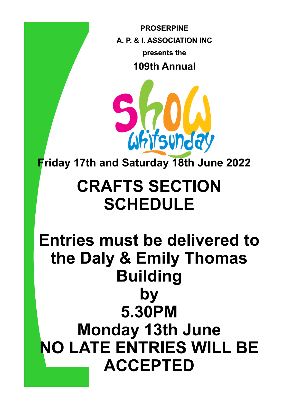**PROSERPINE** A. P. & L. ASSOCIATION INC presents the 109th Annual



**Friday 17th and Saturday 18th June 2022** 

# **CRAFTS SECTION SCHEDULE**

**Entries must be delivered to** the Daly & Emily Thomas **Building** by 5.30PM **Monday 13th June NO LATE ENTRIES WILL BE ACCEPTED**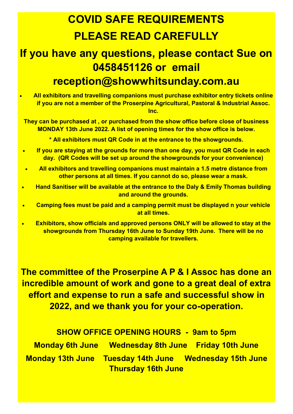## **COVID SAFE REQUIREMENTS PLEASE READ CAREFULLY**

### **If you have any questions, please contact Sue on 0458451126 or email reception@showwhitsunday.com.au**

• **All exhibitors and travelling companions must purchase exhibitor entry tickets online if you are not a member of the Proserpine Agricultural, Pastoral & Industrial Assoc. Inc.**

**They can be purchased at , or purchased from the show office before close of business MONDAY 13th June 2022. A list of opening times for the show office is below.**

**\* All exhibitors must QR Code in at the entrance to the showgrounds.**

- **If you are staying at the grounds for more than one day, you must QR Code in each day. (QR Codes will be set up around the showgrounds for your convenience)**
- **All exhibitors and travelling companions must maintain a 1.5 metre distance from other persons at all times. If you cannot do so, please wear a mask.**
- **Hand Sanitiser will be available at the entrance to the Daly & Emily Thomas building and around the grounds.**
- **Camping fees must be paid and a camping permit must be displayed n your vehicle at all times.**
- **Exhibitors, show officials and approved persons ONLY will be allowed to stay at the showgrounds from Thursday 16th June to Sunday 19th June. There will be no camping available for travellers.**

**The committee of the Proserpine A P & I Assoc has done an incredible amount of work and gone to a great deal of extra effort and expense to run a safe and successful show in 2022, and we thank you for your co-operation.**

**SHOW OFFICE OPENING HOURS - 9am to 5pm**

**Monday 6th June Wednesday 8th June Friday 10th June Monday 13th June Tuesday 14th June Wednesday 15th June Thursday 16th June**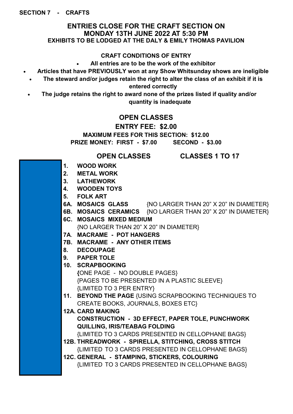#### **ENTRIES CLOSE FOR THE CRAFT SECTION ON MONDAY 13TH JUNE 2022 AT 5:30 PM EXHIBITS TO BE LODGED AT THE DALY & EMILY THOMAS PAVILION**

#### **CRAFT CONDITIONS OF ENTRY**

• **All entries are to be the work of the exhibitor**

- **Articles that have PREVIOUSLY won at any Show Whitsunday shows are ineligible**
	- **The steward and/or judges retain the right to alter the class of an exhibit if it is entered correctly**
- **The judge retains the right to award none of the prizes listed if quality and/or quantity is inadequate**

#### **OPEN CLASSES**

#### **ENTRY FEE: \$2.00**

**MAXIMUM FEES FOR THIS SECTION: \$12.00 PRIZE MONEY: FIRST - \$7.00 SECOND - \$3.00**

#### **OPEN CLASSES CLASSES 1 TO 17**

- **1. WOOD WORK**
- **2. METAL WORK**
- **3. LATHEWORK**
- **4. WOODEN TOYS**
- **5. FOLK ART**
- **6A. MOSAICS GLASS** {NO LARGER THAN 20" X 20" IN DIAMETER}
- **6B. MOSAICS CERAMICS** {NO LARGER THAN 20" X 20" IN DIAMETER}
- **6C. MOSAICS MIXED MEDIUM**  {NO LARGER THAN 20" X 20" IN DIAMETER}
- **7A**. **MACRAME - POT HANGERS**
- **7B. MACRAME - ANY OTHER ITEMS**
- **8. DECOUPAGE**
- **9. PAPER TOLE**
- **10. SCRAPBOOKING**
	- **{**ONE PAGE NO DOUBLE PAGES} {PAGES TO BE PRESENTED IN A PLASTIC SLEEVE} {LIMITED TO 3 PER ENTRY}
- **11. BEYOND THE PAGE** {USING SCRAPBOOKING TECHNIQUES TO CREATE BOOKS, JOURNALS, BOXES ETC}
- **12A. CARD MAKING CONSTRUCTION - 3D EFFECT, PAPER TOLE, PUNCHWORK QUILLING, IRIS/TEABAG FOLDING**

{LIMITED TO 3 CARDS PRESENTED IN CELLOPHANE BAGS}

- **12B. THREADWORK - SPIRELLA, STITCHING, CROSS STITCH**  {LIMITED TO 3 CARDS PRESENTED IN CELLOPHANE BAGS}
- **12C. GENERAL - STAMPING, STICKERS, COLOURING**  {LIMITED TO 3 CARDS PRESENTED IN CELLOPHANE BAGS}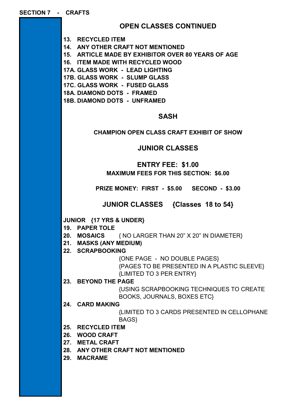| <b>OPEN CLASSES CONTINUED</b> |  |
|-------------------------------|--|
|-------------------------------|--|

**13. RECYCLED ITEM**

**14. ANY OTHER CRAFT NOT MENTIONED**

**15. ARTICLE MADE BY EXHIBITOR OVER 80 YEARS OF AGE**

**16. ITEM MADE WITH RECYCLED WOOD**

**17A. GLASS WORK - LEAD LIGHTING**

**17B. GLASS WORK - SLUMP GLASS**

**17C. GLASS WORK - FUSED GLASS**

**18A. DIAMOND DOTS - FRAMED**

**18B. DIAMOND DOTS - UNFRAMED**

#### **SASH**

#### **CHAMPION OPEN CLASS CRAFT EXHIBIT OF SHOW**

**JUNIOR CLASSES** 

#### **ENTRY FEE: \$1.00 MAXIMUM FEES FOR THIS SECTION: \$6.00**

**PRIZE MONEY: FIRST - \$5.00 SECOND - \$3.00**

**JUNIOR CLASSES {Classes 18 to 54}**

#### **JUNIOR {17 YRS & UNDER}**

**19. PAPER TOLE**

**20. MOSAICS** { NO LARGER THAN 20" X 20" IN DIAMETER}

**21. MASKS (ANY MEDIUM)**

**22. SCRAPBOOKING**

{ONE PAGE - NO DOUBLE PAGES} {PAGES TO BE PRESENTED IN A PLASTIC SLEEVE} {LIMITED TO 3 PER ENTRY}

**23. BEYOND THE PAGE**

{USING SCRAPBOOKING TECHNIQUES TO CREATE BOOKS, JOURNALS, BOXES ETC}

**24. CARD MAKING** 

{LIMITED TO 3 CARDS PRESENTED IN CELLOPHANE BAGS}

**25. RECYCLED ITEM**

**26. WOOD CRAFT**

- **27. METAL CRAFT**
- **28. ANY OTHER CRAFT NOT MENTIONED**

**29. MACRAME**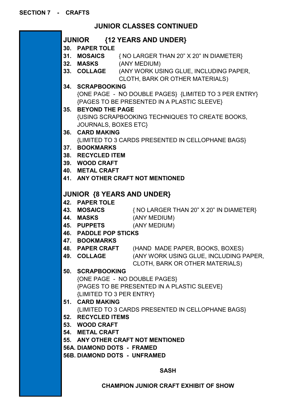### **JUNIOR CLASSES CONTINUED**

|             |                                             | JUNIOR {12 YEARS AND UNDER}                            |  |  |  |
|-------------|---------------------------------------------|--------------------------------------------------------|--|--|--|
|             | 30. PAPER TOLE                              |                                                        |  |  |  |
|             |                                             | 31. MOSAICS { NO LARGER THAN 20" X 20" IN DIAMETER}    |  |  |  |
|             | 32. MASKS (ANY MEDIUM)                      |                                                        |  |  |  |
|             |                                             | 33. COLLAGE (ANY WORK USING GLUE, INCLUDING PAPER,     |  |  |  |
|             |                                             | CLOTH, BARK OR OTHER MATERIALS)                        |  |  |  |
|             | 34. SCRAPBOOKING                            |                                                        |  |  |  |
|             |                                             | {ONE PAGE - NO DOUBLE PAGES} {LIMITED TO 3 PER ENTRY}  |  |  |  |
|             | {PAGES TO BE PRESENTED IN A PLASTIC SLEEVE} |                                                        |  |  |  |
|             | 35. BEYOND THE PAGE                         |                                                        |  |  |  |
|             |                                             | <b>{USING SCRAPBOOKING TECHNIQUES TO CREATE BOOKS,</b> |  |  |  |
|             | <b>JOURNALS, BOXES ETC}</b>                 |                                                        |  |  |  |
|             | 36. CARD MAKING                             |                                                        |  |  |  |
|             |                                             | {LIMITED TO 3 CARDS PRESENTED IN CELLOPHANE BAGS}      |  |  |  |
|             | 37. BOOKMARKS                               |                                                        |  |  |  |
|             | 38. RECYCLED ITEM                           |                                                        |  |  |  |
|             | 39. WOOD CRAFT                              |                                                        |  |  |  |
|             | <b>40. METAL CRAFT</b>                      |                                                        |  |  |  |
|             |                                             | 41. ANY OTHER CRAFT NOT MENTIONED                      |  |  |  |
|             |                                             |                                                        |  |  |  |
|             |                                             | <b>JUNIOR {8 YEARS AND UNDER}</b>                      |  |  |  |
|             | <b>42. PAPER TOLE</b>                       |                                                        |  |  |  |
|             |                                             | 43. MOSAICS { NO LARGER THAN 20" X 20" IN DIAMETER}    |  |  |  |
|             | 44. MASKS                                   | (ANY MEDIUM)                                           |  |  |  |
|             |                                             | 45. PUPPETS (ANY MEDIUM)                               |  |  |  |
|             | <b>46. PADDLE POP STICKS</b>                |                                                        |  |  |  |
|             | <b>47. BOOKMARKS</b>                        |                                                        |  |  |  |
|             |                                             | 48. PAPER CRAFT (HAND MADE PAPER, BOOKS, BOXES)        |  |  |  |
|             | 49. COLLAGE                                 | (ANY WORK USING GLUE, INCLUDING PAPER,                 |  |  |  |
|             |                                             | CLOTH, BARK OR OTHER MATERIALS)                        |  |  |  |
|             | 50. SCRAPBOOKING                            |                                                        |  |  |  |
|             |                                             | {ONE PAGE - NO DOUBLE PAGES}                           |  |  |  |
|             |                                             | {PAGES TO BE PRESENTED IN A PLASTIC SLEEVE}            |  |  |  |
|             | {LIMITED TO 3 PER ENTRY}                    |                                                        |  |  |  |
|             | 51. CARD MAKING                             |                                                        |  |  |  |
|             |                                             | {LIMITED TO 3 CARDS PRESENTED IN CELLOPHANE BAGS}      |  |  |  |
|             | 52. RECYCLED ITEMS                          |                                                        |  |  |  |
|             | 53. WOOD CRAFT                              |                                                        |  |  |  |
|             | 54. METAL CRAFT                             |                                                        |  |  |  |
|             | 55. ANY OTHER CRAFT NOT MENTIONED           |                                                        |  |  |  |
|             | 56A. DIAMOND DOTS - FRAMED                  |                                                        |  |  |  |
|             |                                             | <b>56B. DIAMOND DOTS - UNFRAMED</b>                    |  |  |  |
|             |                                             |                                                        |  |  |  |
| <b>SASH</b> |                                             |                                                        |  |  |  |

**CHAMPION JUNIOR CRAFT EXHIBIT OF SHOW**